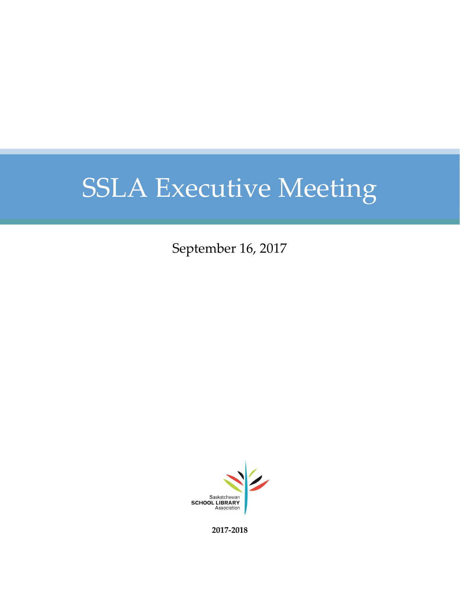September 16, 2017



**2017-2018**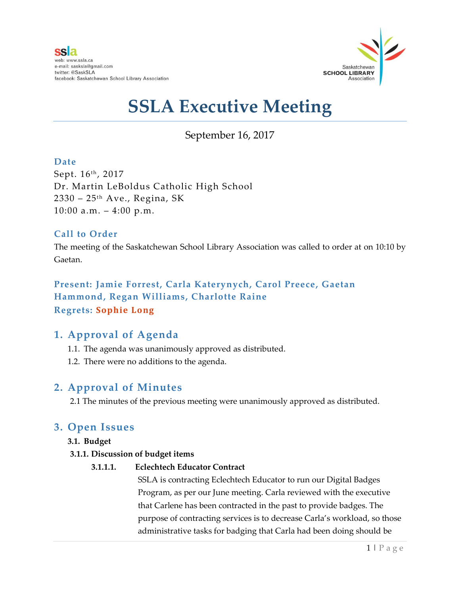

## September 16, 2017

### **Date**

Sept. 16<sup>th</sup>, 2017 Dr. Martin LeBoldus Catholic High School  $2330 - 25$ <sup>th</sup> Ave., Regina, SK  $10:00$  a.m.  $-4:00$  p.m.

### **Call to Order**

The meeting of the Saskatchewan School Library Association was called to order at on 10:10 by Gaetan.

### **Present: Jamie Forrest, Carla Katerynych, Carol Preece, Gaetan Hammond, Regan Williams, Charlotte Raine Regrets: Sophie Long**

### **1. Approval of Agenda**

- 1.1. The agenda was unanimously approved as distributed.
- 1.2. There were no additions to the agenda.

### **2. Approval of Minutes**

2.1 The minutes of the previous meeting were unanimously approved as distributed.

### **3. Open Issues**

### **3.1. Budget**

### **3.1.1. Discussion of budget items**

### **3.1.1.1. Eclechtech Educator Contract**

SSLA is contracting Eclechtech Educator to run our Digital Badges Program, as per our June meeting. Carla reviewed with the executive that Carlene has been contracted in the past to provide badges. The purpose of contracting services is to decrease Carla's workload, so those administrative tasks for badging that Carla had been doing should be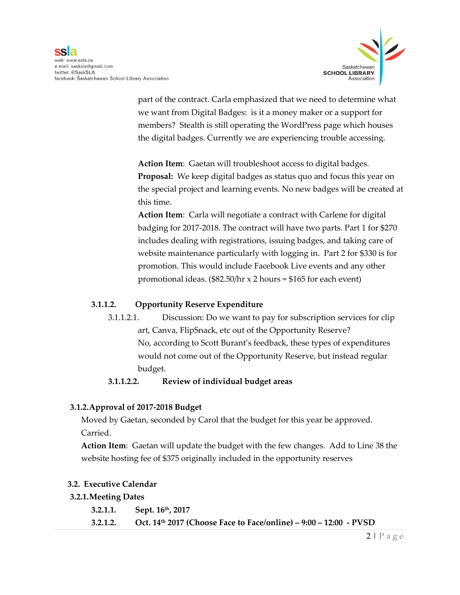

part of the contract. Carla emphasized that we need to determine what we want from Digital Badges: is it a money maker or a support for members? Stealth is still operating the WordPress page which houses the digital badges. Currently we are experiencing trouble accessing.

**Action Item**: Gaetan will troubleshoot access to digital badges. **Proposal:** We keep digital badges as status quo and focus this year on the special project and learning events. No new badges will be created at this time.

**Action Item**: Carla will negotiate a contract with Carlene for digital badging for 2017-2018. The contract will have two parts. Part 1 for \$270 includes dealing with registrations, issuing badges, and taking care of website maintenance particularly with logging in. Part 2 for \$330 is for promotion. This would include Facebook Live events and any other promotional ideas.  $(\$82.50/hr \times 2 hours = $165$  for each event)

### **3.1.1.2. Opportunity Reserve Expenditure**

3.1.1.2.1. Discussion: Do we want to pay for subscription services for clip art, Canva, FlipSnack, etc out of the Opportunity Reserve? No, according to Scott Burant's feedback, these types of expenditures would not come out of the Opportunity Reserve, but instead regular budget.

### **3.1.1.2.2. Review of individual budget areas**

### **3.1.2.Approval of 2017-2018 Budget**

Moved by Gaetan, seconded by Carol that the budget for this year be approved. Carried.

**Action Item**: Gaetan will update the budget with the few changes. Add to Line 38 the website hosting fee of \$375 originally included in the opportunity reserves

#### **3.2. Executive Calendar**

#### **3.2.1.Meeting Dates**

**3.2.1.1. Sept. 16th, 2017 3.2.1.2. Oct. 14th 2017 (Choose Face to Face/online) – 9:00 – 12:00 - PVSD**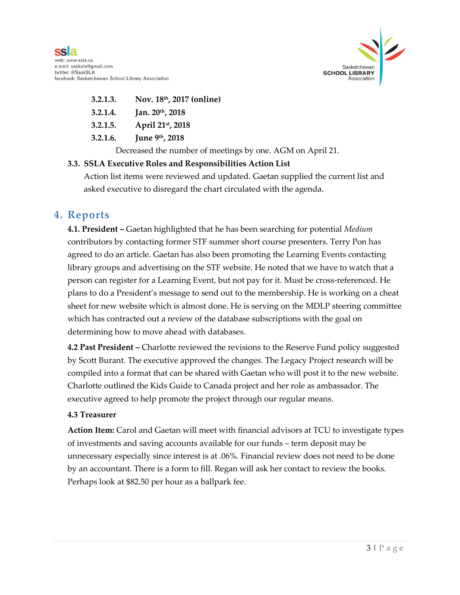

- **3.2.1.3. Nov. 18th, 2017 (online)**
- **3.2.1.4. Jan. 20th, 2018**
- **3.2.1.5. April 21st, 2018**
- **3.2.1.6. June 9th, 2018**

Decreased the number of meetings by one. AGM on April 21.

#### **3.3. SSLA Executive Roles and Responsibilities Action List**

Action list items were reviewed and updated. Gaetan supplied the current list and asked executive to disregard the chart circulated with the agenda.

### **4. Reports**

**4.1. President –** Gaetan highlighted that he has been searching for potential *Medium*  contributors by contacting former STF summer short course presenters. Terry Pon has agreed to do an article. Gaetan has also been promoting the Learning Events contacting library groups and advertising on the STF website. He noted that we have to watch that a person can register for a Learning Event, but not pay for it. Must be cross-referenced. He plans to do a President's message to send out to the membership. He is working on a cheat sheet for new website which is almost done. He is serving on the MDLP steering committee which has contracted out a review of the database subscriptions with the goal on determining how to move ahead with databases.

**4.2 Past President –** Charlotte reviewed the revisions to the Reserve Fund policy suggested by Scott Burant. The executive approved the changes. The Legacy Project research will be compiled into a format that can be shared with Gaetan who will post it to the new website. Charlotte outlined the Kids Guide to Canada project and her role as ambassador. The executive agreed to help promote the project through our regular means.

#### **4.3 Treasurer**

**Action Item:** Carol and Gaetan will meet with financial advisors at TCU to investigate types of investments and saving accounts available for our funds – term deposit may be unnecessary especially since interest is at .06%. Financial review does not need to be done by an accountant. There is a form to fill. Regan will ask her contact to review the books. Perhaps look at \$82.50 per hour as a ballpark fee.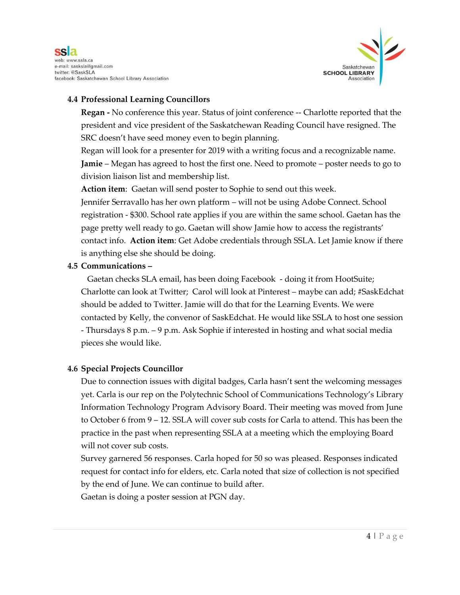



### **4.4 Professional Learning Councillors**

**Regan -** No conference this year. Status of joint conference -- Charlotte reported that the president and vice president of the Saskatchewan Reading Council have resigned. The SRC doesn't have seed money even to begin planning.

Regan will look for a presenter for 2019 with a writing focus and a recognizable name. **Jamie** – Megan has agreed to host the first one. Need to promote – poster needs to go to division liaison list and membership list.

**Action item**: Gaetan will send poster to Sophie to send out this week. Jennifer Serravallo has her own platform – will not be using Adobe Connect. School registration - \$300. School rate applies if you are within the same school. Gaetan has the page pretty well ready to go. Gaetan will show Jamie how to access the registrants' contact info. **Action item**: Get Adobe credentials through SSLA. Let Jamie know if there is anything else she should be doing.

#### **4.5 Communications –**

Gaetan checks SLA email, has been doing Facebook - doing it from HootSuite; Charlotte can look at Twitter; Carol will look at Pinterest – maybe can add; #SaskEdchat should be added to Twitter. Jamie will do that for the Learning Events. We were contacted by Kelly, the convenor of SaskEdchat. He would like SSLA to host one session - Thursdays 8 p.m. – 9 p.m. Ask Sophie if interested in hosting and what social media pieces she would like.

### **4.6 Special Projects Councillor**

Due to connection issues with digital badges, Carla hasn't sent the welcoming messages yet. Carla is our rep on the Polytechnic School of Communications Technology's Library Information Technology Program Advisory Board. Their meeting was moved from June to October 6 from 9 – 12. SSLA will cover sub costs for Carla to attend. This has been the practice in the past when representing SSLA at a meeting which the employing Board will not cover sub costs.

Survey garnered 56 responses. Carla hoped for 50 so was pleased. Responses indicated request for contact info for elders, etc. Carla noted that size of collection is not specified by the end of June. We can continue to build after.

Gaetan is doing a poster session at PGN day.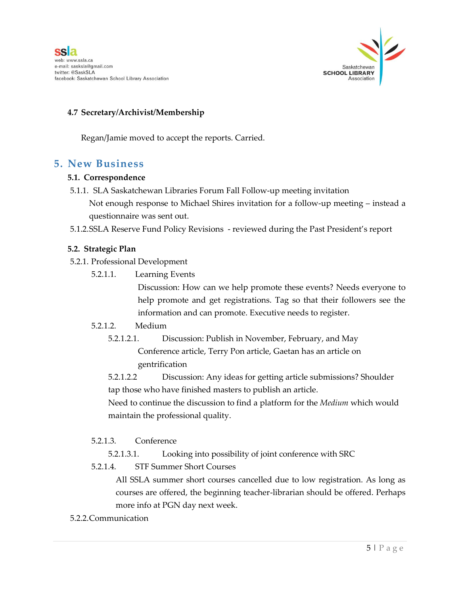

### **4.7 Secretary/Archivist/Membership**

Regan/Jamie moved to accept the reports. Carried.

### **5. New Business**

#### **5.1. Correspondence**

- 5.1.1. SLA Saskatchewan Libraries Forum Fall Follow-up meeting invitation Not enough response to Michael Shires invitation for a follow-up meeting – instead a questionnaire was sent out.
- 5.1.2.SSLA Reserve Fund Policy Revisions reviewed during the Past President's report

#### **5.2. Strategic Plan**

- 5.2.1. Professional Development
	- 5.2.1.1. Learning Events

Discussion: How can we help promote these events? Needs everyone to help promote and get registrations. Tag so that their followers see the information and can promote. Executive needs to register.

#### 5.2.1.2. Medium

5.2.1.2.1. Discussion: Publish in November, February, and May Conference article, Terry Pon article, Gaetan has an article on gentrification

5.2.1.2.2 Discussion: Any ideas for getting article submissions? Shoulder tap those who have finished masters to publish an article.

Need to continue the discussion to find a platform for the *Medium* which would maintain the professional quality.

#### 5.2.1.3. Conference

5.2.1.3.1. Looking into possibility of joint conference with SRC

5.2.1.4. STF Summer Short Courses

All SSLA summer short courses cancelled due to low registration. As long as courses are offered, the beginning teacher-librarian should be offered. Perhaps more info at PGN day next week.

5.2.2.Communication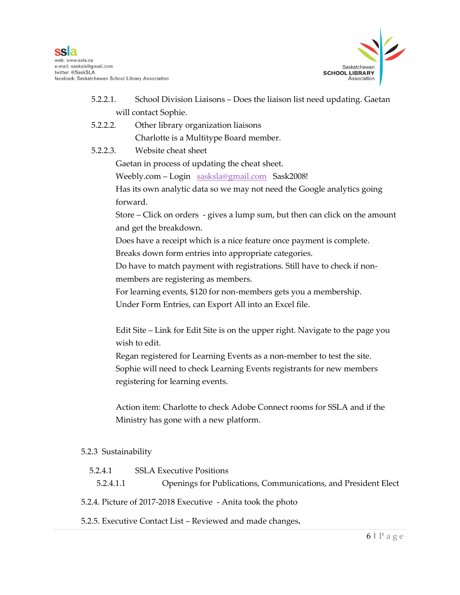

- 5.2.2.1. School Division Liaisons Does the liaison list need updating. Gaetan will contact Sophie.
- 5.2.2.2. Other library organization liaisons Charlotte is a Multitype Board member.
- 5.2.2.3. Website cheat sheet

Gaetan in process of updating the cheat sheet.

Weebly.com – Login [sasksla@gmail.com](mailto:sasksla@gmail.com) Sask2008!

Has its own analytic data so we may not need the Google analytics going forward.

Store – Click on orders - gives a lump sum, but then can click on the amount and get the breakdown.

Does have a receipt which is a nice feature once payment is complete.

Breaks down form entries into appropriate categories.

Do have to match payment with registrations. Still have to check if nonmembers are registering as members.

For learning events, \$120 for non-members gets you a membership.

Under Form Entries, can Export All into an Excel file.

Edit Site – Link for Edit Site is on the upper right. Navigate to the page you wish to edit.

Regan registered for Learning Events as a non-member to test the site. Sophie will need to check Learning Events registrants for new members registering for learning events.

Action item: Charlotte to check Adobe Connect rooms for SSLA and if the Ministry has gone with a new platform.

### 5.2.3 Sustainability

5.2.4.1 SSLA Executive Positions

5.2.4.1.1 Openings for Publications, Communications, and President Elect

5.2.4. Picture of 2017-2018 Executive - Anita took the photo

5.2.5. Executive Contact List – Reviewed and made changes**.**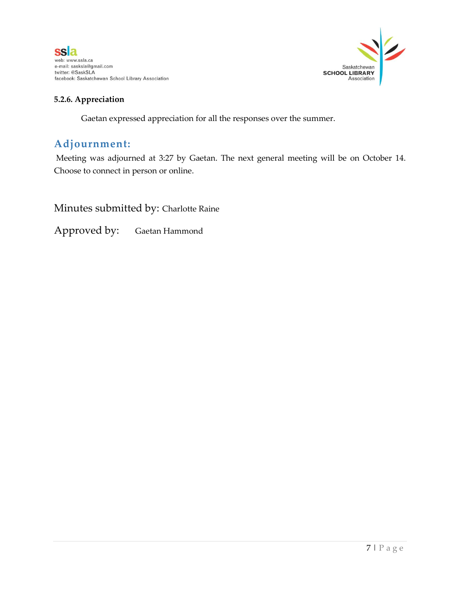



### **5.2.6. Appreciation**

Gaetan expressed appreciation for all the responses over the summer.

### **Adjournment:**

Meeting was adjourned at 3:27 by Gaetan. The next general meeting will be on October 14. Choose to connect in person or online.

Minutes submitted by: Charlotte Raine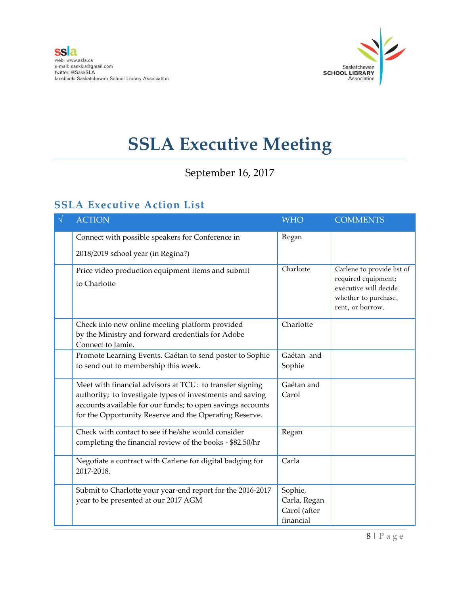

September 16, 2017

## **SSLA Executive Action List**

| <b>ACTION</b>                                                                                                                                                                                                                                 | <b>WHO</b>                                           | <b>COMMENTS</b>                                                                                                        |
|-----------------------------------------------------------------------------------------------------------------------------------------------------------------------------------------------------------------------------------------------|------------------------------------------------------|------------------------------------------------------------------------------------------------------------------------|
| Connect with possible speakers for Conference in<br>2018/2019 school year (in Regina?)                                                                                                                                                        | Regan                                                |                                                                                                                        |
| Price video production equipment items and submit<br>to Charlotte                                                                                                                                                                             | Charlotte                                            | Carlene to provide list of<br>required equipment;<br>executive will decide<br>whether to purchase,<br>rent, or borrow. |
| Check into new online meeting platform provided<br>by the Ministry and forward credentials for Adobe<br>Connect to Jamie.                                                                                                                     | Charlotte                                            |                                                                                                                        |
| Promote Learning Events. Gaétan to send poster to Sophie<br>to send out to membership this week.                                                                                                                                              | Gaétan and<br>Sophie                                 |                                                                                                                        |
| Meet with financial advisors at TCU: to transfer signing<br>authority; to investigate types of investments and saving<br>accounts available for our funds; to open savings accounts<br>for the Opportunity Reserve and the Operating Reserve. | Gaétan and<br>Carol                                  |                                                                                                                        |
| Check with contact to see if he/she would consider<br>completing the financial review of the books - \$82.50/hr                                                                                                                               | Regan                                                |                                                                                                                        |
| Negotiate a contract with Carlene for digital badging for<br>2017-2018.                                                                                                                                                                       | Carla                                                |                                                                                                                        |
| Submit to Charlotte your year-end report for the 2016-2017<br>year to be presented at our 2017 AGM                                                                                                                                            | Sophie,<br>Carla, Regan<br>Carol (after<br>financial |                                                                                                                        |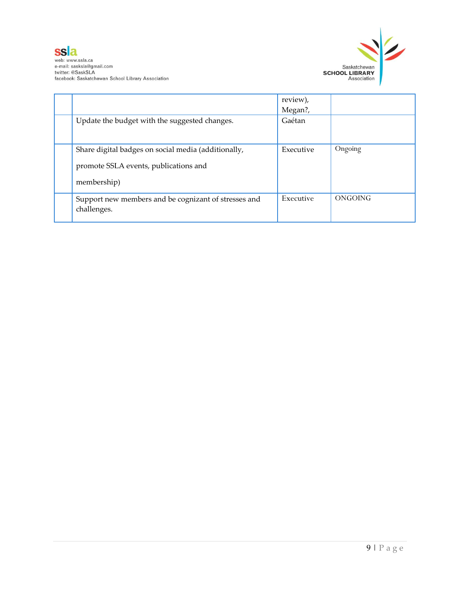



|                                                                                                             | review),<br>Megan?, |         |
|-------------------------------------------------------------------------------------------------------------|---------------------|---------|
| Update the budget with the suggested changes.                                                               | Gaétan              |         |
| Share digital badges on social media (additionally,<br>promote SSLA events, publications and<br>membership) | Executive           | Ongoing |
| Support new members and be cognizant of stresses and<br>challenges.                                         | Executive           | ONGOING |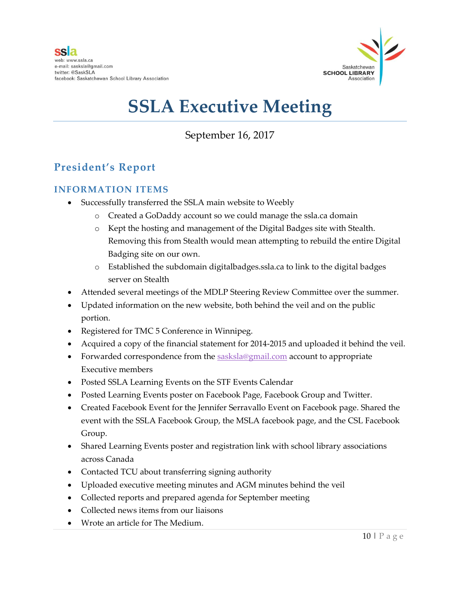

September 16, 2017

## **President's Report**

### **INFORMATION ITEMS**

- Successfully transferred the SSLA main website to Weebly
	- o Created a GoDaddy account so we could manage the ssla.ca domain
	- o Kept the hosting and management of the Digital Badges site with Stealth. Removing this from Stealth would mean attempting to rebuild the entire Digital Badging site on our own.
	- o Established the subdomain digitalbadges.ssla.ca to link to the digital badges server on Stealth
- Attended several meetings of the MDLP Steering Review Committee over the summer.
- Updated information on the new website, both behind the veil and on the public portion.
- Registered for TMC 5 Conference in Winnipeg.
- Acquired a copy of the financial statement for 2014-2015 and uploaded it behind the veil.
- Forwarded correspondence from the [sasksla@gmail.com](mailto:sasksla@gmail.com) account to appropriate Executive members
- Posted SSLA Learning Events on the STF Events Calendar
- Posted Learning Events poster on Facebook Page, Facebook Group and Twitter.
- Created Facebook Event for the Jennifer Serravallo Event on Facebook page. Shared the event with the SSLA Facebook Group, the MSLA facebook page, and the CSL Facebook Group.
- Shared Learning Events poster and registration link with school library associations across Canada
- Contacted TCU about transferring signing authority
- Uploaded executive meeting minutes and AGM minutes behind the veil
- Collected reports and prepared agenda for September meeting
- Collected news items from our liaisons
- Wrote an article for The Medium.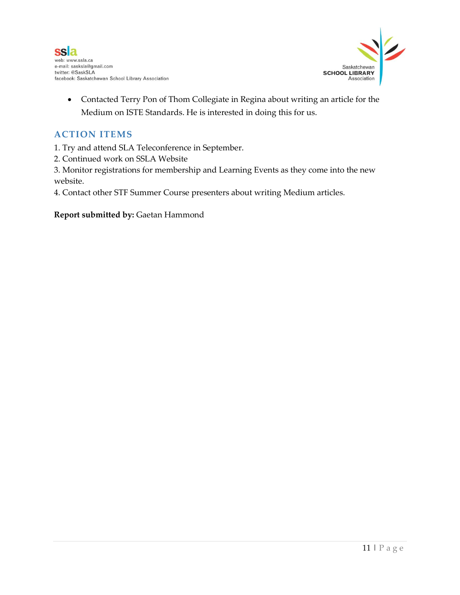



 Contacted Terry Pon of Thom Collegiate in Regina about writing an article for the Medium on ISTE Standards. He is interested in doing this for us.

### **ACTION ITEMS**

- 1. Try and attend SLA Teleconference in September.
- 2. Continued work on SSLA Website

3. Monitor registrations for membership and Learning Events as they come into the new website.

4. Contact other STF Summer Course presenters about writing Medium articles.

### **Report submitted by:** Gaetan Hammond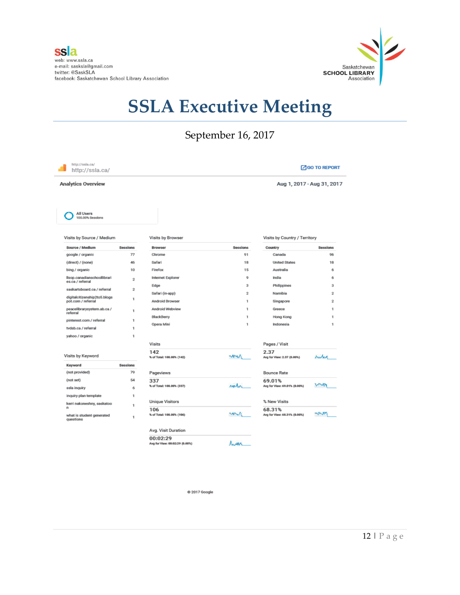

## September 16, 2017

| http://ssla.ca/<br><b>Analytics Overview</b>    |                 |                                  |                         | Aug 1, 2017 - Aug 31, 2017             |                |
|-------------------------------------------------|-----------------|----------------------------------|-------------------------|----------------------------------------|----------------|
| All Users<br>100.00% Sessions                   |                 |                                  |                         |                                        |                |
| Visits by Source / Medium                       |                 | Visits by Browser                |                         | Visits by Country / Territory          |                |
| Source / Medium                                 | <b>Sessions</b> | Browser                          | Sessions                | Country                                | Sessions       |
| google / organic                                | 77              | Chrome                           | 91                      | Canada                                 | 96             |
| (direct) / (none)                               | 46              | Safari                           | 18                      | <b>United States</b>                   | 18             |
| bing / organic                                  | 10              | Firefox                          | 15                      | Australia                              | 6              |
| Ilsop.canadianschoollibrari<br>es.ca / referral | $\bar{2}$       | Internet Explorer                | 9                       | India                                  | 6              |
| saskartsboard.ca / referral                     | $\overline{2}$  | Edge                             | $\overline{\mathbf{3}}$ | Philippines                            | 3              |
| digitalcitizenship2to5.blogs                    |                 | Safari (in-app)                  | $\overline{2}$          | Namibia                                | $\overline{2}$ |
| pot.com / referral                              | 1               | Android Browser                  | 1                       | Singapore                              | $\overline{2}$ |
| peacelibrarysystem.ab.ca /<br>referral          | 1               | Android Webview                  | 1                       | Greece                                 | 1              |
| pinterest.com / referral                        | 1               | BlackBerry                       | 1                       | Hong Kong                              | 1              |
| tvdsb.ca / referral                             | 1               | Opera Mini                       | 1                       | Indonesia                              | 1              |
| yahoo / organic                                 | 1               |                                  |                         |                                        |                |
|                                                 |                 | Visits                           |                         | Pages / Visit                          |                |
|                                                 |                 | 142                              |                         | 2.37                                   |                |
| Visits by Keyword                               |                 | % of Total: 100.00% (142)        | ww                      | Avg for View: 2.37 (0.00%)             | huded          |
| Keyword                                         | <b>Sessions</b> |                                  |                         |                                        |                |
| (not provided)                                  | 79              | Pageviews                        |                         | <b>Bounce Rate</b>                     |                |
| (not set)                                       | 54              | 337                              |                         | 69.01%                                 | W              |
| ssla inquiry                                    | 6               | % of Total: 100.00% (337)        | rapillon                | Avg for View: 69.01% (0.00%)           |                |
| inquiry plan template                           | $\mathbf{1}$    |                                  |                         |                                        |                |
| kerri nakoneshny, saskatoo<br>n                 | $\mathbf{1}$    | Unique Visitors                  |                         | % New Visits                           |                |
| what is student generated<br>questions          | $\mathbf{1}$    | 106<br>% of Total: 100.00% (106) | m                       | 68.31%<br>Avg for View: 68.31% (0.00%) | <b>MAM</b>     |
|                                                 |                 | Avg. Visit Duration              |                         |                                        |                |
|                                                 |                 | 00:02:29                         |                         |                                        |                |
|                                                 |                 | Avg for View: 00:02:29 (0.00%)   | <b><i>Rema</i></b>      |                                        |                |

@ 2017 Google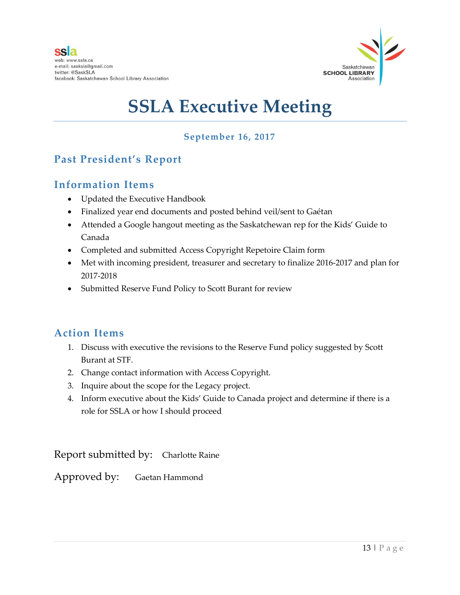

### **September 16, 2017**

### **Past President's Report**

### **Information Items**

- Updated the Executive Handbook
- Finalized year end documents and posted behind veil/sent to Gaétan
- Attended a Google hangout meeting as the Saskatchewan rep for the Kids' Guide to Canada
- Completed and submitted Access Copyright Repetoire Claim form
- Met with incoming president, treasurer and secretary to finalize 2016-2017 and plan for 2017-2018
- Submitted Reserve Fund Policy to Scott Burant for review

### **Action Items**

- 1. Discuss with executive the revisions to the Reserve Fund policy suggested by Scott Burant at STF.
- 2. Change contact information with Access Copyright.
- 3. Inquire about the scope for the Legacy project.
- 4. Inform executive about the Kids' Guide to Canada project and determine if there is a role for SSLA or how I should proceed

Report submitted by: Charlotte Raine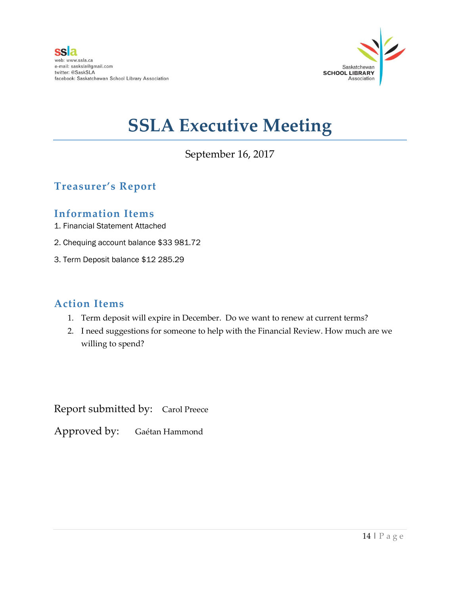

September 16, 2017

## **Treasurer's Report**

### **Information Items**

- 1. Financial Statement Attached
- 2. Chequing account balance \$33 981.72
- 3. Term Deposit balance \$12 285.29

### **Action Items**

- 1. Term deposit will expire in December. Do we want to renew at current terms?
- 2. I need suggestions for someone to help with the Financial Review. How much are we willing to spend?

Report submitted by: Carol Preece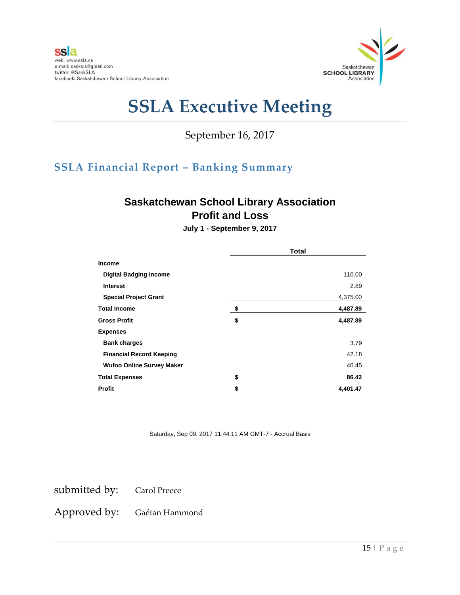

September 16, 2017

## **SSLA Financial Report – Banking Summary**

## **Saskatchewan School Library Association Profit and Loss**

**July 1 - September 9, 2017**

|                                  | <b>Total</b>   |
|----------------------------------|----------------|
| <b>Income</b>                    |                |
| <b>Digital Badging Income</b>    | 110.00         |
| <b>Interest</b>                  | 2.89           |
| <b>Special Project Grant</b>     | 4,375.00       |
| <b>Total Income</b>              | \$<br>4,487.89 |
| <b>Gross Profit</b>              | \$<br>4,487.89 |
| <b>Expenses</b>                  |                |
| <b>Bank charges</b>              | 3.79           |
| <b>Financial Record Keeping</b>  | 42.18          |
| <b>Wufoo Online Survey Maker</b> | 40.45          |
| <b>Total Expenses</b>            | \$<br>86.42    |
| Profit                           | \$<br>4,401.47 |

Saturday, Sep 09, 2017 11:44:11 AM GMT-7 - Accrual Basis

submitted by: Carol Preece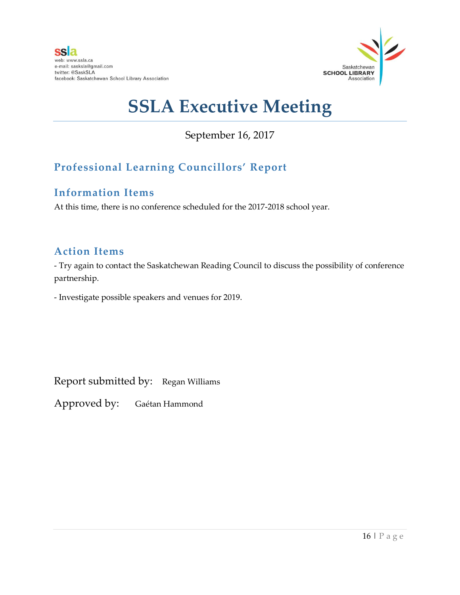

September 16, 2017

## **Professional Learning Councillors' Report**

## **Information Items**

At this time, there is no conference scheduled for the 2017-2018 school year.

## **Action Items**

- Try again to contact the Saskatchewan Reading Council to discuss the possibility of conference partnership.

- Investigate possible speakers and venues for 2019.

Report submitted by: Regan Williams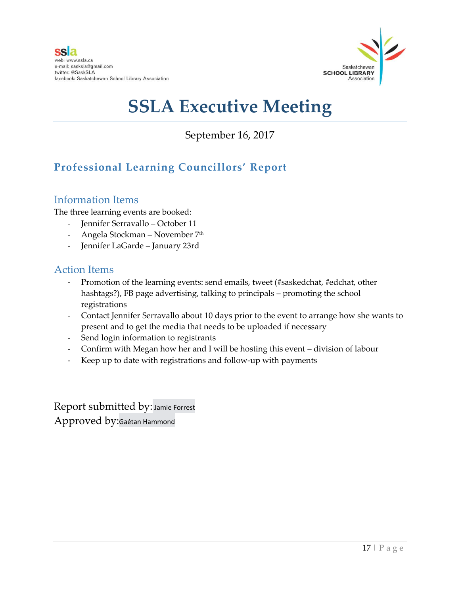

September 16, 2017

## **Professional Learning Councillors' Report**

### Information Items

The three learning events are booked:

- Jennifer Serravallo October 11
- Angela Stockman November 7<sup>th</sup>
- Jennifer LaGarde January 23rd

### Action Items

- Promotion of the learning events: send emails, tweet (#saskedchat, #edchat, other hashtags?), FB page advertising, talking to principals – promoting the school registrations
- Contact Jennifer Serravallo about 10 days prior to the event to arrange how she wants to present and to get the media that needs to be uploaded if necessary
- Send login information to registrants
- Confirm with Megan how her and I will be hosting this event division of labour
- Keep up to date with registrations and follow-up with payments

Report submitted by: Jamie Forrest Approved by:Gaétan Hammond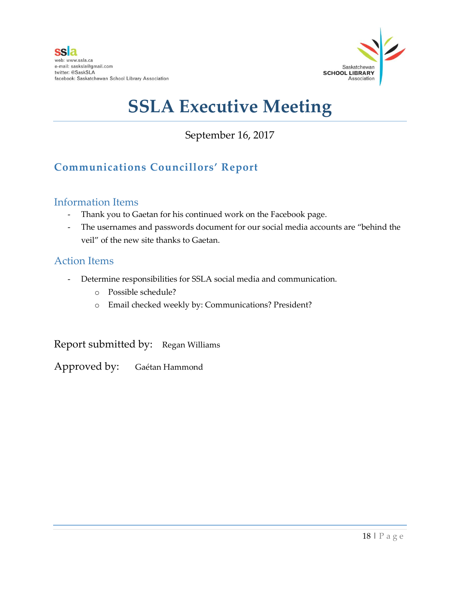

September 16, 2017

## **Communications Councillors' Report**

### Information Items

- Thank you to Gaetan for his continued work on the Facebook page.
- The usernames and passwords document for our social media accounts are "behind the veil" of the new site thanks to Gaetan.

### Action Items

- Determine responsibilities for SSLA social media and communication.
	- o Possible schedule?
	- o Email checked weekly by: Communications? President?

Report submitted by: Regan Williams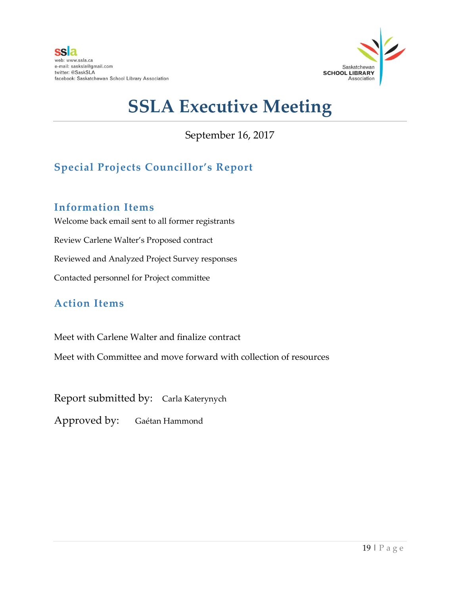

September 16, 2017

## **Special Projects Councillor's Report**

### **Information Items**

Welcome back email sent to all former registrants Review Carlene Walter's Proposed contract Reviewed and Analyzed Project Survey responses Contacted personnel for Project committee

## **Action Items**

Meet with Carlene Walter and finalize contract

Meet with Committee and move forward with collection of resources

Report submitted by: Carla Katerynych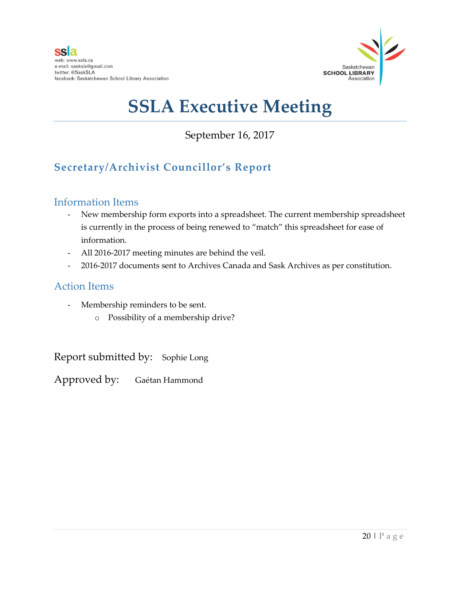

September 16, 2017

## **Secretary/Archivist Councillor's Report**

### Information Items

- New membership form exports into a spreadsheet. The current membership spreadsheet is currently in the process of being renewed to "match" this spreadsheet for ease of information.
- All 2016-2017 meeting minutes are behind the veil.
- 2016-2017 documents sent to Archives Canada and Sask Archives as per constitution.

### Action Items

- Membership reminders to be sent.
	- o Possibility of a membership drive?

Report submitted by: Sophie Long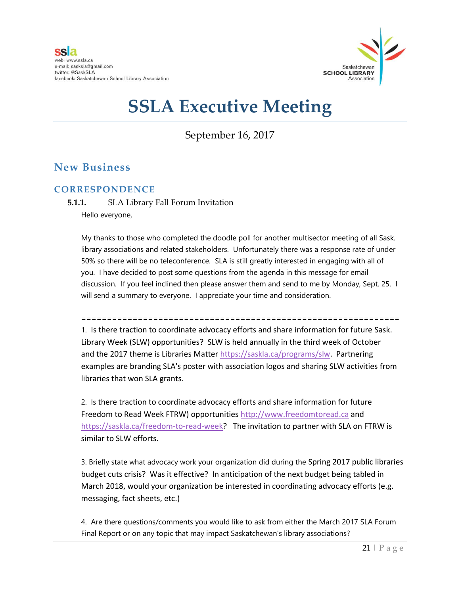

September 16, 2017

### **New Business**

### **CORRESPONDENCE**

**5.1.1.** SLA Library Fall Forum Invitation Hello everyone,

My thanks to those who completed the doodle poll for another multisector meeting of all Sask. library associations and related stakeholders. Unfortunately there was a response rate of under 50% so there will be no teleconference. SLA is still greatly interested in engaging with all of you. I have decided to post some questions from the agenda in this message for email discussion. If you feel inclined then please answer them and send to me by Monday, Sept. 25. I will send a summary to everyone. I appreciate your time and consideration.

============================================================== 1. Is there traction to coordinate advocacy efforts and share information for future Sask. Library Week (SLW) opportunities? SLW is held annually in the third week of October and the 2017 theme is Libraries Matter [https://saskla.ca/programs/slw.](https://saskla.ca/programs/slw) Partnering examples are branding SLA's poster with association logos and sharing SLW activities from libraries that won SLA grants.

2. Is there traction to coordinate advocacy efforts and share information for future Freedom to Read Week FTRW) opportunities [http://www.freedomtoread.ca](http://www.freedomtoread.ca/) and [https://saskla.ca/freedom-to-read-week?](https://saskla.ca/freedom-to-read-week) The invitation to partner with SLA on FTRW is similar to SLW efforts.

3. Briefly state what advocacy work your organization did during the Spring 2017 public libraries budget cuts crisis? Was it effective? In anticipation of the next budget being tabled in March 2018, would your organization be interested in coordinating advocacy efforts (e.g. messaging, fact sheets, etc.)

4. Are there questions/comments you would like to ask from either the March 2017 SLA Forum Final Report or on any topic that may impact Saskatchewan's library associations?